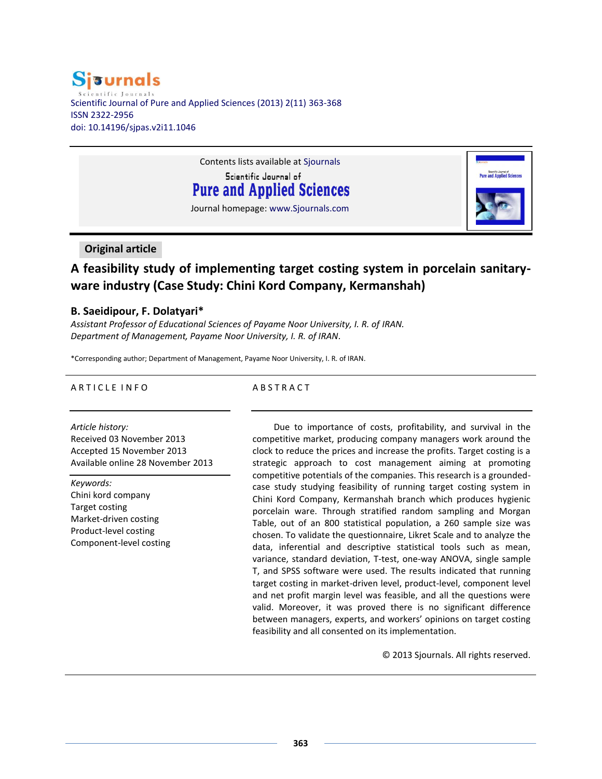# **Sisurnals** Scientific Journal of Pure and Applied Sciences (2013) 2(11) 363-368 ISSN 2322-2956 doi: 10.14196/sjpas.v2i11.1046

Contents lists available at Sjournals Scientific Journal of **Pure and Applied Sciences** Journal homepage: www.Sjournals.com

# **Original article**

# **A feasibility study of implementing target costing system in porcelain sanitaryware industry (Case Study: Chini Kord Company, Kermanshah)**

# **B. Saeidipour, F. Dolatyari\***

*Assistant Professor of Educational Sciences of Payame Noor University, I. R. of IRAN. Department of Management, Payame Noor University, I. R. of IRAN.*

\*Corresponding author; Department of Management, Payame Noor University, I. R. of IRAN.

## A R T I C L E I N F O

### A B S T R A C T

*Article history:* Received 03 November 2013 Accepted 15 November 2013 Available online 28 November 2013

*Keywords:* Chini kord company Target costing Market-driven costing Product-level costing Component-level costing

Due to importance of costs, profitability, and survival in the competitive market, producing company managers work around the clock to reduce the prices and increase the profits. Target costing is a strategic approach to cost management aiming at promoting competitive potentials of the companies. This research is a groundedcase study studying feasibility of running target costing system in Chini Kord Company, Kermanshah branch which produces hygienic porcelain ware. Through stratified random sampling and Morgan Table, out of an 800 statistical population, a 260 sample size was chosen. To validate the questionnaire, Likret Scale and to analyze the data, inferential and descriptive statistical tools such as mean, variance, standard deviation, T-test, one-way ANOVA, single sample T, and SPSS software were used. The results indicated that running target costing in market-driven level, product-level, component level and net profit margin level was feasible, and all the questions were valid. Moreover, it was proved there is no significant difference between managers, experts, and workers' opinions on target costing feasibility and all consented on its implementation.

© 2013 Sjournals. All rights reserved.

**Pure and Applied Sciences**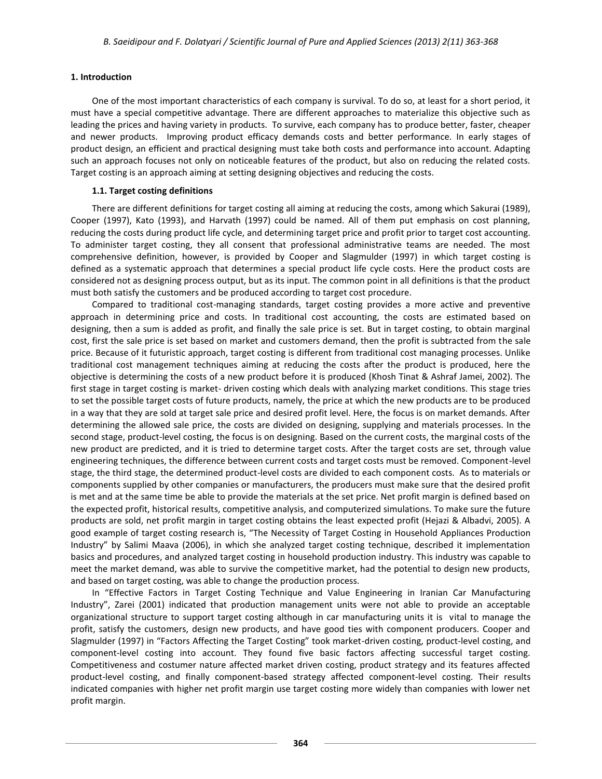#### **1. Introduction**

One of the most important characteristics of each company is survival. To do so, at least for a short period, it must have a special competitive advantage. There are different approaches to materialize this objective such as leading the prices and having variety in products. To survive, each company has to produce better, faster, cheaper and newer products. Improving product efficacy demands costs and better performance. In early stages of product design, an efficient and practical designing must take both costs and performance into account. Adapting such an approach focuses not only on noticeable features of the product, but also on reducing the related costs. Target costing is an approach aiming at setting designing objectives and reducing the costs.

#### **1.1. Target costing definitions**

There are different definitions for target costing all aiming at reducing the costs, among which Sakurai (1989), Cooper (1997), Kato (1993), and Harvath (1997) could be named. All of them put emphasis on cost planning, reducing the costs during product life cycle, and determining target price and profit prior to target cost accounting. To administer target costing, they all consent that professional administrative teams are needed. The most comprehensive definition, however, is provided by Cooper and Slagmulder (1997) in which target costing is defined as a systematic approach that determines a special product life cycle costs. Here the product costs are considered not as designing process output, but as its input. The common point in all definitions is that the product must both satisfy the customers and be produced according to target cost procedure.

Compared to traditional cost-managing standards, target costing provides a more active and preventive approach in determining price and costs. In traditional cost accounting, the costs are estimated based on designing, then a sum is added as profit, and finally the sale price is set. But in target costing, to obtain marginal cost, first the sale price is set based on market and customers demand, then the profit is subtracted from the sale price. Because of it futuristic approach, target costing is different from traditional cost managing processes. Unlike traditional cost management techniques aiming at reducing the costs after the product is produced, here the objective is determining the costs of a new product before it is produced (Khosh Tinat & Ashraf Jamei, 2002). The first stage in target costing is market- driven costing which deals with analyzing market conditions. This stage tries to set the possible target costs of future products, namely, the price at which the new products are to be produced in a way that they are sold at target sale price and desired profit level. Here, the focus is on market demands. After determining the allowed sale price, the costs are divided on designing, supplying and materials processes. In the second stage, product-level costing, the focus is on designing. Based on the current costs, the marginal costs of the new product are predicted, and it is tried to determine target costs. After the target costs are set, through value engineering techniques, the difference between current costs and target costs must be removed. Component-level stage, the third stage, the determined product-level costs are divided to each component costs. As to materials or components supplied by other companies or manufacturers, the producers must make sure that the desired profit is met and at the same time be able to provide the materials at the set price. Net profit margin is defined based on the expected profit, historical results, competitive analysis, and computerized simulations. To make sure the future products are sold, net profit margin in target costing obtains the least expected profit (Hejazi & Albadvi, 2005). A good example of target costing research is, "The Necessity of Target Costing in Household Appliances Production Industry" by Salimi Maava (2006), in which she analyzed target costing technique, described it implementation basics and procedures, and analyzed target costing in household production industry. This industry was capable to meet the market demand, was able to survive the competitive market, had the potential to design new products, and based on target costing, was able to change the production process.

In "Effective Factors in Target Costing Technique and Value Engineering in Iranian Car Manufacturing Industry", Zarei (2001) indicated that production management units were not able to provide an acceptable organizational structure to support target costing although in car manufacturing units it is vital to manage the profit, satisfy the customers, design new products, and have good ties with component producers. Cooper and Slagmulder (1997) in "Factors Affecting the Target Costing" took market-driven costing, product-level costing, and component-level costing into account. They found five basic factors affecting successful target costing. Competitiveness and costumer nature affected market driven costing, product strategy and its features affected product-level costing, and finally component-based strategy affected component-level costing. Their results indicated companies with higher net profit margin use target costing more widely than companies with lower net profit margin.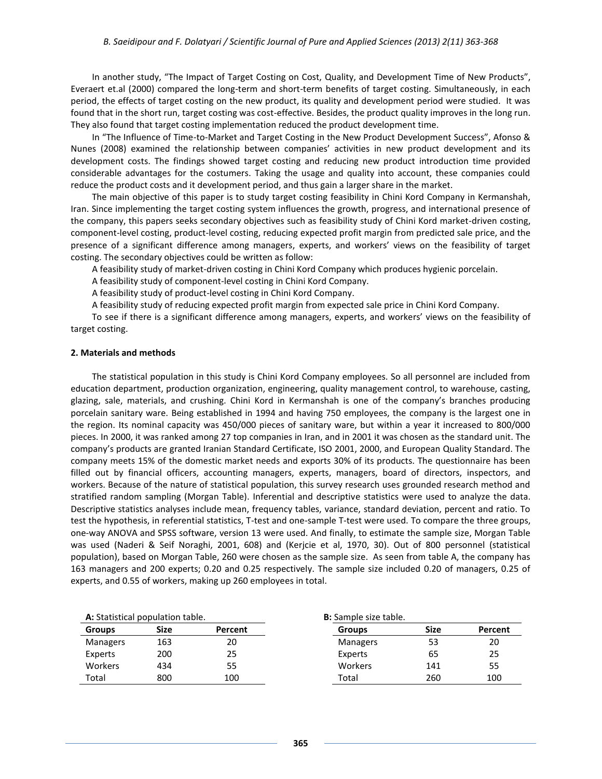In another study, "The Impact of Target Costing on Cost, Quality, and Development Time of New Products", Everaert et.al (2000) compared the long-term and short-term benefits of target costing. Simultaneously, in each period, the effects of target costing on the new product, its quality and development period were studied. It was found that in the short run, target costing was cost-effective. Besides, the product quality improves in the long run. They also found that target costing implementation reduced the product development time.

In "The Influence of Time-to-Market and Target Costing in the New Product Development Success", Afonso & Nunes (2008) examined the relationship between companies' activities in new product development and its development costs. The findings showed target costing and reducing new product introduction time provided considerable advantages for the costumers. Taking the usage and quality into account, these companies could reduce the product costs and it development period, and thus gain a larger share in the market.

The main objective of this paper is to study target costing feasibility in Chini Kord Company in Kermanshah, Iran. Since implementing the target costing system influences the growth, progress, and international presence of the company, this papers seeks secondary objectives such as feasibility study of Chini Kord market-driven costing, component-level costing, product-level costing, reducing expected profit margin from predicted sale price, and the presence of a significant difference among managers, experts, and workers' views on the feasibility of target costing. The secondary objectives could be written as follow:

A feasibility study of market-driven costing in Chini Kord Company which produces hygienic porcelain.

A feasibility study of component-level costing in Chini Kord Company.

A feasibility study of product-level costing in Chini Kord Company.

A feasibility study of reducing expected profit margin from expected sale price in Chini Kord Company.

To see if there is a significant difference among managers, experts, and workers' views on the feasibility of target costing.

#### **2. Materials and methods**

The statistical population in this study is Chini Kord Company employees. So all personnel are included from education department, production organization, engineering, quality management control, to warehouse, casting, glazing, sale, materials, and crushing. Chini Kord in Kermanshah is one of the company's branches producing porcelain sanitary ware. Being established in 1994 and having 750 employees, the company is the largest one in the region. Its nominal capacity was 450/000 pieces of sanitary ware, but within a year it increased to 800/000 pieces. In 2000, it was ranked among 27 top companies in Iran, and in 2001 it was chosen as the standard unit. The company's products are granted Iranian Standard Certificate, ISO 2001, 2000, and European Quality Standard. The company meets 15% of the domestic market needs and exports 30% of its products. The questionnaire has been filled out by financial officers, accounting managers, experts, managers, board of directors, inspectors, and workers. Because of the nature of statistical population, this survey research uses grounded research method and stratified random sampling (Morgan Table). Inferential and descriptive statistics were used to analyze the data. Descriptive statistics analyses include mean, frequency tables, variance, standard deviation, percent and ratio. To test the hypothesis, in referential statistics, T-test and one-sample T-test were used. To compare the three groups, one-way ANOVA and SPSS software, version 13 were used. And finally, to estimate the sample size, Morgan Table was used (Naderi & Seif Noraghi, 2001, 608) and (Kerjcie et al, 1970, 30). Out of 800 personnel (statistical population), based on Morgan Table, 260 were chosen as the sample size. As seen from table A, the company has 163 managers and 200 experts; 0.20 and 0.25 respectively. The sample size included 0.20 of managers, 0.25 of experts, and 0.55 of workers, making up 260 employees in total.

| A: Statistical population table. |             |         | <b>B:</b> Sample size table. |             |         |
|----------------------------------|-------------|---------|------------------------------|-------------|---------|
| <b>Groups</b>                    | <b>Size</b> | Percent | <b>Groups</b>                | <b>Size</b> | Percent |
| <b>Managers</b>                  | 163         | 20      | Managers                     | 53          | 20      |
| Experts                          | 200         | 25      | Experts                      | 65          | 25      |
| <b>Workers</b>                   | 434         | 55      | Workers                      | 141         | 55      |
| Total                            | 800         | 100     | Total                        | 260         | 100     |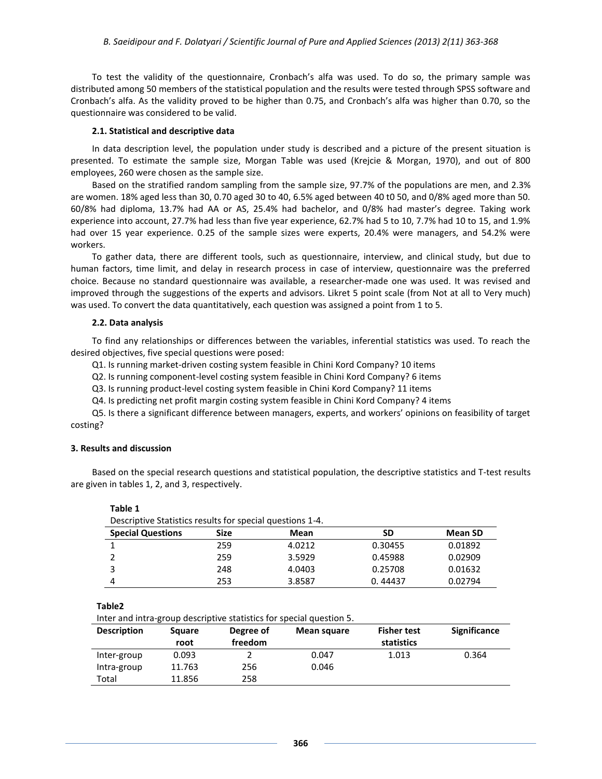To test the validity of the questionnaire, Cronbach's alfa was used. To do so, the primary sample was distributed among 50 members of the statistical population and the results were tested through SPSS software and Cronbach's alfa. As the validity proved to be higher than 0.75, and Cronbach's alfa was higher than 0.70, so the questionnaire was considered to be valid.

#### **2.1. Statistical and descriptive data**

In data description level, the population under study is described and a picture of the present situation is presented. To estimate the sample size, Morgan Table was used (Krejcie & Morgan, 1970), and out of 800 employees, 260 were chosen as the sample size.

Based on the stratified random sampling from the sample size, 97.7% of the populations are men, and 2.3% are women. 18% aged less than 30, 0.70 aged 30 to 40, 6.5% aged between 40 t0 50, and 0/8% aged more than 50. 60/8% had diploma, 13.7% had AA or AS, 25.4% had bachelor, and 0/8% had master's degree. Taking work experience into account, 27.7% had less than five year experience, 62.7% had 5 to 10, 7.7% had 10 to 15, and 1.9% had over 15 year experience. 0.25 of the sample sizes were experts, 20.4% were managers, and 54.2% were workers.

To gather data, there are different tools, such as questionnaire, interview, and clinical study, but due to human factors, time limit, and delay in research process in case of interview, questionnaire was the preferred choice. Because no standard questionnaire was available, a researcher-made one was used. It was revised and improved through the suggestions of the experts and advisors. Likret 5 point scale (from Not at all to Very much) was used. To convert the data quantitatively, each question was assigned a point from 1 to 5.

#### **2.2. Data analysis**

To find any relationships or differences between the variables, inferential statistics was used. To reach the desired objectives, five special questions were posed:

Q1. Is running market-driven costing system feasible in Chini Kord Company? 10 items

Q2. Is running component-level costing system feasible in Chini Kord Company? 6 items

Q3. Is running product-level costing system feasible in Chini Kord Company? 11 items

Q4. Is predicting net profit margin costing system feasible in Chini Kord Company? 4 items

Q5. Is there a significant difference between managers, experts, and workers' opinions on feasibility of target costing?

#### **3. Results and discussion**

**Table 1**

Based on the special research questions and statistical population, the descriptive statistics and T-test results are given in tables 1, 2, and 3, respectively.

| Descriptive Statistics results for special questions 1-4. |      |        |         |                |
|-----------------------------------------------------------|------|--------|---------|----------------|
| <b>Special Questions</b>                                  | Size | Mean   | SD      | <b>Mean SD</b> |
|                                                           | 259  | 4.0212 | 0.30455 | 0.01892        |
| 2                                                         | 259  | 3.5929 | 0.45988 | 0.02909        |
| 3                                                         | 248  | 4.0403 | 0.25708 | 0.01632        |
| 4                                                         | 253  | 3.8587 | 0.44437 | 0.02794        |

**Table2**

Inter and intra-group descriptive statistics for special question 5.

| <b>Description</b> | <b>Square</b> | Degree of | Mean square | <b>Fisher test</b> | <b>Significance</b> |
|--------------------|---------------|-----------|-------------|--------------------|---------------------|
|                    | root          | freedom   |             | statistics         |                     |
| Inter-group        | 0.093         |           | 0.047       | 1.013              | 0.364               |
| Intra-group        | 11.763        | 256       | 0.046       |                    |                     |
| Total              | 11.856        | 258       |             |                    |                     |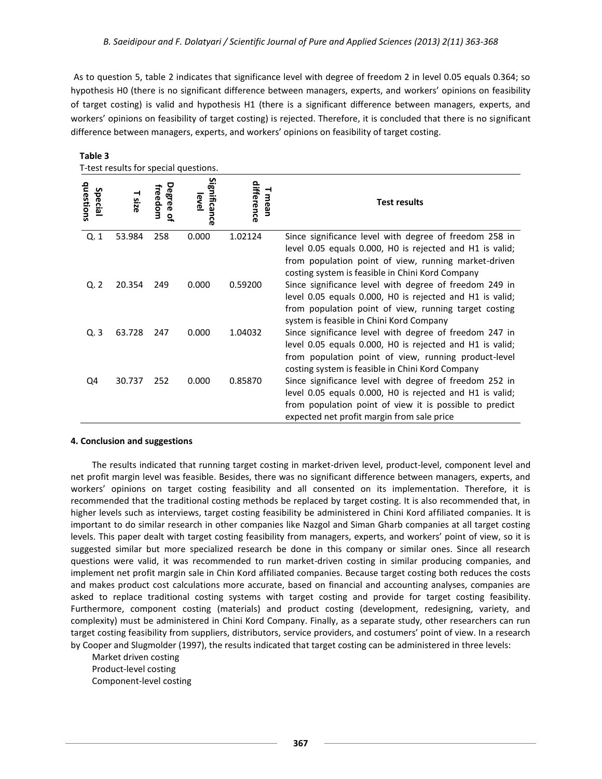As to question 5, table 2 indicates that significance level with degree of freedom 2 in level 0.05 equals 0.364; so hypothesis H0 (there is no significant difference between managers, experts, and workers' opinions on feasibility of target costing) is valid and hypothesis H1 (there is a significant difference between managers, experts, and workers' opinions on feasibility of target costing) is rejected. Therefore, it is concluded that there is no significant difference between managers, experts, and workers' opinions on feasibility of target costing.

| T-test results for special questions. |             |                                     |                           |                    |                                                                                                                                                                                                                                |
|---------------------------------------|-------------|-------------------------------------|---------------------------|--------------------|--------------------------------------------------------------------------------------------------------------------------------------------------------------------------------------------------------------------------------|
| questions<br><b>Special</b>           | <b>Size</b> | Degree<br>freedom<br>$\overline{a}$ | Significanc<br>level<br>൹ | difference<br>mean | <b>Test results</b>                                                                                                                                                                                                            |
| Q.1                                   | 53.984      | 258                                 | 0.000                     | 1.02124            | Since significance level with degree of freedom 258 in<br>level 0.05 equals 0.000, HO is rejected and H1 is valid;<br>from population point of view, running market-driven<br>costing system is feasible in Chini Kord Company |
| Q. 2                                  | 20.354      | 249                                 | 0.000                     | 0.59200            | Since significance level with degree of freedom 249 in<br>level 0.05 equals 0.000, HO is rejected and H1 is valid;<br>from population point of view, running target costing<br>system is feasible in Chini Kord Company        |
| Q.3                                   | 63.728      | 247                                 | 0.000                     | 1.04032            | Since significance level with degree of freedom 247 in<br>level 0.05 equals 0.000, HO is rejected and H1 is valid;<br>from population point of view, running product-level<br>costing system is feasible in Chini Kord Company |
| Q4                                    | 30.737      | 252                                 | 0.000                     | 0.85870            | Since significance level with degree of freedom 252 in<br>level 0.05 equals 0.000, HO is rejected and H1 is valid;<br>from population point of view it is possible to predict<br>expected net profit margin from sale price    |

# **Table 3**

#### **4. Conclusion and suggestions**

The results indicated that running target costing in market-driven level, product-level, component level and net profit margin level was feasible. Besides, there was no significant difference between managers, experts, and workers' opinions on target costing feasibility and all consented on its implementation. Therefore, it is recommended that the traditional costing methods be replaced by target costing. It is also recommended that, in higher levels such as interviews, target costing feasibility be administered in Chini Kord affiliated companies. It is important to do similar research in other companies like Nazgol and Siman Gharb companies at all target costing levels. This paper dealt with target costing feasibility from managers, experts, and workers' point of view, so it is suggested similar but more specialized research be done in this company or similar ones. Since all research questions were valid, it was recommended to run market-driven costing in similar producing companies, and implement net profit margin sale in Chin Kord affiliated companies. Because target costing both reduces the costs and makes product cost calculations more accurate, based on financial and accounting analyses, companies are asked to replace traditional costing systems with target costing and provide for target costing feasibility. Furthermore, component costing (materials) and product costing (development, redesigning, variety, and complexity) must be administered in Chini Kord Company. Finally, as a separate study, other researchers can run target costing feasibility from suppliers, distributors, service providers, and costumers' point of view. In a research by Cooper and Slugmolder (1997), the results indicated that target costing can be administered in three levels:

Market driven costing Product-level costing Component-level costing